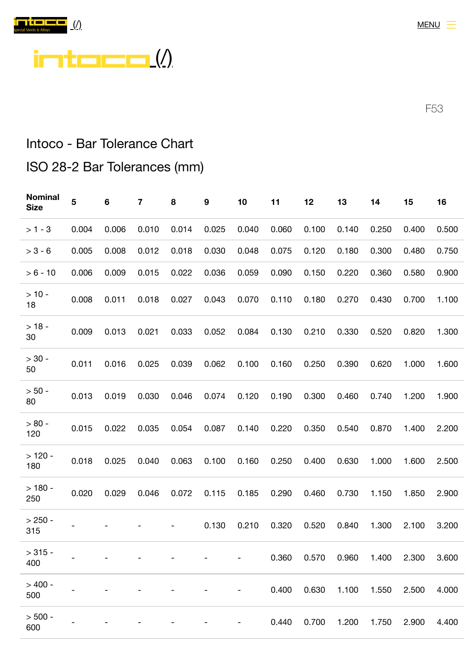



F53

## Intoco - Bar Tolerance Chart

## ISO 28-2 Bar Tolerances (mm)

| <b>Nominal</b><br><b>Size</b> | 5     | $\bf 6$ | 7     | 8     | 9     | 10    | 11    | 12    | 13    | 14    | 15    | 16    |
|-------------------------------|-------|---------|-------|-------|-------|-------|-------|-------|-------|-------|-------|-------|
| $> 1 - 3$                     | 0.004 | 0.006   | 0.010 | 0.014 | 0.025 | 0.040 | 0.060 | 0.100 | 0.140 | 0.250 | 0.400 | 0.500 |
| $> 3 - 6$                     | 0.005 | 0.008   | 0.012 | 0.018 | 0.030 | 0.048 | 0.075 | 0.120 | 0.180 | 0.300 | 0.480 | 0.750 |
| $> 6 - 10$                    | 0.006 | 0.009   | 0.015 | 0.022 | 0.036 | 0.059 | 0.090 | 0.150 | 0.220 | 0.360 | 0.580 | 0.900 |
| $> 10 -$<br>18                | 0.008 | 0.011   | 0.018 | 0.027 | 0.043 | 0.070 | 0.110 | 0.180 | 0.270 | 0.430 | 0.700 | 1.100 |
| $> 18 -$<br>30                | 0.009 | 0.013   | 0.021 | 0.033 | 0.052 | 0.084 | 0.130 | 0.210 | 0.330 | 0.520 | 0.820 | 1.300 |
| $> 30 -$<br>50                | 0.011 | 0.016   | 0.025 | 0.039 | 0.062 | 0.100 | 0.160 | 0.250 | 0.390 | 0.620 | 1.000 | 1.600 |
| $> 50 -$<br>80                | 0.013 | 0.019   | 0.030 | 0.046 | 0.074 | 0.120 | 0.190 | 0.300 | 0.460 | 0.740 | 1.200 | 1.900 |
| $> 80 -$<br>120               | 0.015 | 0.022   | 0.035 | 0.054 | 0.087 | 0.140 | 0.220 | 0.350 | 0.540 | 0.870 | 1.400 | 2.200 |
| $>120 -$<br>180               | 0.018 | 0.025   | 0.040 | 0.063 | 0.100 | 0.160 | 0.250 | 0.400 | 0.630 | 1.000 | 1.600 | 2.500 |
| $>180 -$<br>250               | 0.020 | 0.029   | 0.046 | 0.072 | 0.115 | 0.185 | 0.290 | 0.460 | 0.730 | 1.150 | 1.850 | 2.900 |
| $> 250 -$<br>315              |       |         |       |       | 0.130 | 0.210 | 0.320 | 0.520 | 0.840 | 1.300 | 2.100 | 3.200 |
| $> 315 -$<br>400              |       |         |       |       |       |       | 0.360 | 0.570 | 0.960 | 1.400 | 2.300 | 3.600 |
| $> 400 -$<br>500              |       |         |       |       |       |       | 0.400 | 0.630 | 1.100 | 1.550 | 2.500 | 4.000 |
| $> 500 -$<br>600              |       |         |       |       |       |       | 0.440 | 0.700 | 1.200 | 1.750 | 2.900 | 4.400 |